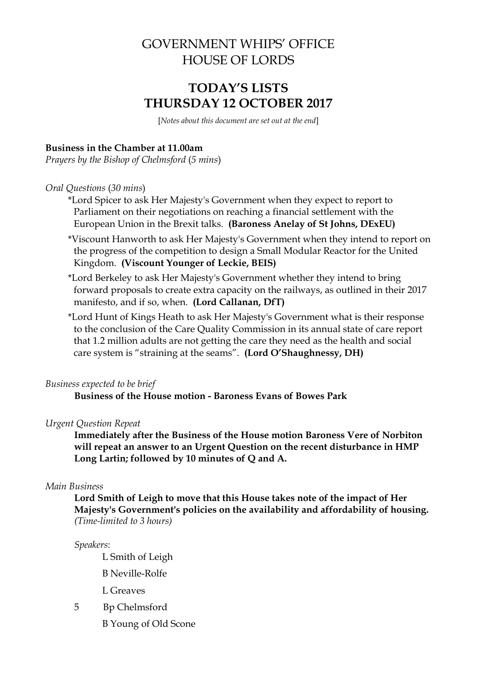# GOVERNMENT WHIPS' OFFICE HOUSE OF LORDS

# **TODAY'S LISTS THURSDAY 12 OCTOBER 2017**

[*Notes about this document are set out at the end*]

## **Business in the Chamber at 11.00am**

*Prayers by the Bishop of Chelmsford* (*5 mins*)

### *Oral Questions* (*30 mins*)

- \*Lord Spicer to ask Her Majesty's Government when they expect to report to Parliament on their negotiations on reaching a financial settlement with the European Union in the Brexit talks. **(Baroness Anelay of St Johns, DExEU)**
- \*Viscount Hanworth to ask Her Majesty's Government when they intend to report on the progress of the competition to design a Small Modular Reactor for the United Kingdom. **(Viscount Younger of Leckie, BEIS)**
- \*Lord Berkeley to ask Her Majesty's Government whether they intend to bring forward proposals to create extra capacity on the railways, as outlined in their 2017 manifesto, and if so, when. **(Lord Callanan, DfT)**
- \*Lord Hunt of Kings Heath to ask Her Majesty's Government what is their response to the conclusion of the Care Quality Commission in its annual state of care report that 1.2 million adults are not getting the care they need as the health and social care system is "straining at the seams". **(Lord O'Shaughnessy, DH)**

### *Business expected to be brief*

**Business of the House motion - Baroness Evans of Bowes Park**

## *Urgent Question Repeat*

**Immediately after the Business of the House motion Baroness Vere of Norbiton will repeat an answer to an Urgent Question on the recent disturbance in HMP Long Lartin; followed by 10 minutes of Q and A.**

### *Main Business*

**Lord Smith of Leigh to move that this House takes note of the impact of Her Majesty's Government's policies on the availability and affordability of housing.**  *(Time-limited to 3 hours)*

#### *Speakers*:

L Smith of Leigh

B Neville-Rolfe

L Greaves

- 5 Bp Chelmsford
	- B Young of Old Scone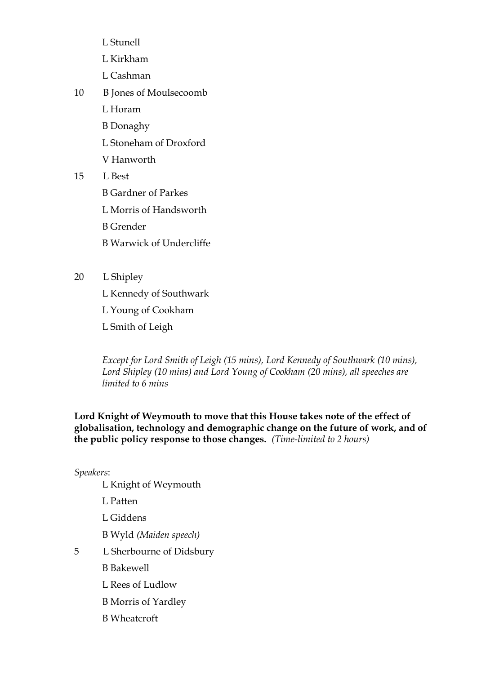- L Stunell
- L Kirkham
- L Cashman
- 10 B Jones of Moulsecoomb
	- L Horam
	- B Donaghy
	- L Stoneham of Droxford
	- V Hanworth
- 15 L Best
	- B Gardner of Parkes
	- L Morris of Handsworth
	- B Grender
	- B Warwick of Undercliffe
- 20 L Shipley
	- L Kennedy of Southwark

L Young of Cookham

L Smith of Leigh

*Except for Lord Smith of Leigh (15 mins), Lord Kennedy of Southwark (10 mins), Lord Shipley (10 mins) and Lord Young of Cookham (20 mins), all speeches are limited to 6 mins* 

**Lord Knight of Weymouth to move that this House takes note of the effect of globalisation, technology and demographic change on the future of work, and of the public policy response to those changes.** *(Time-limited to 2 hours)*

# *Speakers*:

- L Knight of Weymouth
- L Patten
- L Giddens
- B Wyld *(Maiden speech)*
- 5 L Sherbourne of Didsbury
	- B Bakewell
	- L Rees of Ludlow
	- B Morris of Yardley
	- B Wheatcroft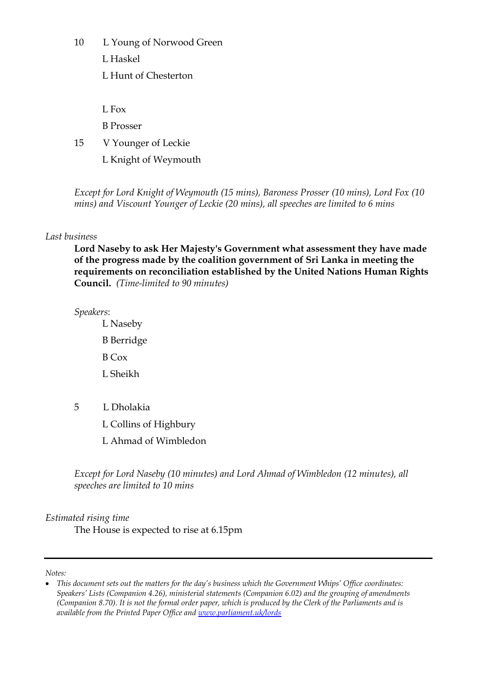10 L Young of Norwood Green

L Haskel

L Hunt of Chesterton

 $L$  Fox

B Prosser

15 V Younger of Leckie

L Knight of Weymouth

*Except for Lord Knight of Weymouth (15 mins), Baroness Prosser (10 mins), Lord Fox (10 mins) and Viscount Younger of Leckie (20 mins), all speeches are limited to 6 mins* 

# *Last business*

**Lord Naseby to ask Her Majesty's Government what assessment they have made of the progress made by the coalition government of Sri Lanka in meeting the requirements on reconciliation established by the United Nations Human Rights Council.** *(Time-limited to 90 minutes)*

*Speakers*:

L Naseby B Berridge B Cox L Sheikh

5 L Dholakia

L Collins of Highbury

L Ahmad of Wimbledon

*Except for Lord Naseby (10 minutes) and Lord Ahmad of Wimbledon (12 minutes), all speeches are limited to 10 mins*

*Estimated rising time* 

The House is expected to rise at 6.15pm

*Notes:*

*This document sets out the matters for the day's business which the Government Whips' Office coordinates: Speakers' Lists (Companion 4.26), ministerial statements (Companion 6.02) and the grouping of amendments (Companion 8.70). It is not the formal order paper, which is produced by the Clerk of the Parliaments and is available from the Printed Paper Office and [www.parliament.uk/lords](file://///hpap04f/HOLAdmin_Rdf$/mackersieaj/Documents/AJM%20Documents/GWO%20Templates/Models/www.parliament.uk/lords)*